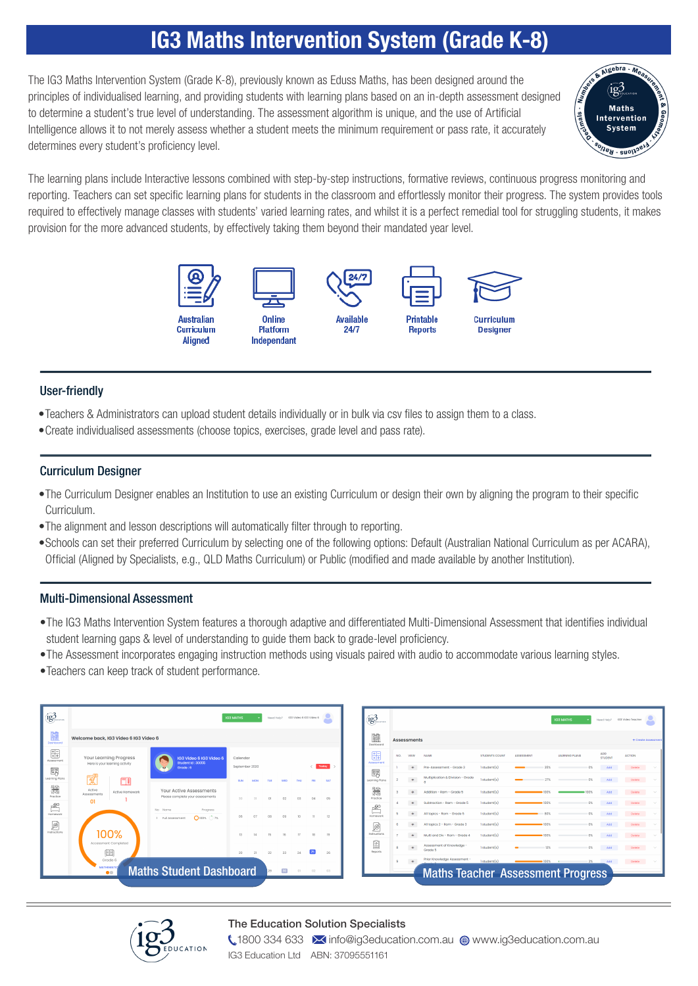# IG3 Maths Intervention System (Grade K-8)

The IG3 Maths Intervention System (Grade K-8), previously known as Eduss Maths, has been designed around the principles of individualised learning, and providing students with learning plans based on an in-depth assessment designed to determine a student's true level of understanding. The assessment algorithm is unique, and the use of Artificial Intelligence allows it to not merely assess whether a student meets the minimum requirement or pass rate, it accurately determines every student's proficiency level.



The learning plans include Interactive lessons combined with step-by-step instructions, formative reviews, continuous progress monitoring and reporting. Teachers can set specific learning plans for students in the classroom and effortlessly monitor their progress. The system provides tools required to effectively manage classes with students' varied learning rates, and whilst it is a perfect remedial tool for struggling students, it makes provision for the more advanced students, by effectively taking them beyond their mandated year level.



### User-friendly

- •Teachers & Administrators can upload student details individually or in bulk via csv files to assign them to a class.
- •Create individualised assessments (choose topics, exercises, grade level and pass rate).

### Curriculum Designer

- •The Curriculum Designer enables an Institution to use an existing Curriculum or design their own by aligning the program to their specific Curriculum.
- •The alignment and lesson descriptions will automatically filter through to reporting.
- •Schools can set their preferred Curriculum by selecting one of the following options: Default (Australian National Curriculum as per ACARA), Official (Aligned by Specialists, e.g., QLD Maths Curriculum) or Public (modified and made available by another Institution).

#### Multi-Dimensional Assessment

- •The IG3 Maths Intervention System features a thorough adaptive and differentiated Multi-Dimensional Assessment that identifies individual student learning gaps & level of understanding to guide them back to grade-level proficiency.
- •The Assessment incorporates engaging instruction methods using visuals paired with audio to accommodate various learning styles.
- •Teachers can keep track of student performance.

| ig <sup>3</sup>                | IG3 Video 6 IG3 Video 6<br><b>IG3 MATHS</b><br>Need Help? |                                                                 |                                                                                 |                            |     |     |                 |     |                 |     |  |  |  |  |  |
|--------------------------------|-----------------------------------------------------------|-----------------------------------------------------------------|---------------------------------------------------------------------------------|----------------------------|-----|-----|-----------------|-----|-----------------|-----|--|--|--|--|--|
| Doshhoomi                      | Welcome back, IG3 Video 6 IG3 Video 6                     |                                                                 |                                                                                 |                            |     |     |                 |     |                 |     |  |  |  |  |  |
| Ħ.<br>Assessment<br>阿买         |                                                           | <b>Your Learning Progress</b><br>Here is your learning activity | IG3 Video 6 IG3 Video 6<br>Student Id: 30055<br>Grade: 6                        | Calendar<br>September 2020 |     |     |                 |     |                 |     |  |  |  |  |  |
| Learning Plans                 | প্ল                                                       |                                                                 |                                                                                 | SUN                        | MON | TUE | WED             | THU | <b>CD</b>       | SAT |  |  |  |  |  |
| #<br>Proctice<br>$\frac{1}{2}$ | Active<br>Assessments<br>O <sub>1</sub>                   | Active Homework                                                 | Your Active Assessments<br>Please complete your assessments                     | 30                         | 21  | n1  | n               | 03  | 04              | 05  |  |  |  |  |  |
| Homework                       |                                                           |                                                                 | No.<br>Name<br>Progress<br>$\bigcap$ 100% $\bigcap$ 7%<br>Full Assessment<br>п. | 06                         | 07  | 08  | O <sub>3</sub>  | 10  | $\mathbb{I}$    | 12  |  |  |  |  |  |
| ĮS<br>Instructions             |                                                           | 100%<br>Accessment Completed                                    |                                                                                 | 13                         | 14  | 15  | 16              | 17  | 18              | 19  |  |  |  |  |  |
|                                |                                                           | Œ<br>Grade 6                                                    |                                                                                 | 20                         | 21  | 22  | 23              | 24  | 25 <sub>1</sub> | 26  |  |  |  |  |  |
|                                |                                                           | <b>MATHEMATIC</b><br>$\bullet$                                  | <b>Maths Student Dashboard</b>                                                  |                            |     | 29  | 30 <sub>2</sub> | O1  | 02              | 03  |  |  |  |  |  |

|               |                                                             | <b>IG3 MATHS</b>        |  |  |    |    | Need Help?   IG3 Video 6 IG3 Video 6 |            | $(\mathbf{1}\mathbf{g}_{\text{inversion}}^2)$ |                    |                             |                                          |                       |                   |      | <b>IG3 MATHS</b> |                       | Need Help?   IG3 Video Teacher |        |
|---------------|-------------------------------------------------------------|-------------------------|--|--|----|----|--------------------------------------|------------|-----------------------------------------------|--------------------|-----------------------------|------------------------------------------|-----------------------|-------------------|------|------------------|-----------------------|--------------------------------|--------|
| 6 IG3 Video 6 |                                                             |                         |  |  |    |    |                                      |            | M<br>Dashboard                                | <b>Assessments</b> |                             |                                          |                       |                   |      |                  |                       | + Create Assessmen             |        |
| ess           | IG3 Video 6 IG3 Video 6<br>Student Id: 30055                | Calendar                |  |  |    |    |                                      |            | 開<br>Assessment                               | NO.                | VIEW                        | NAME                                     | <b>STUDENTS COUNT</b> | <b>ASSESSMENT</b> |      | LEARNING PLANS   | ADD<br><b>STUDENT</b> | <b>ACTION</b>                  |        |
| itv.          | Grade: 6<br><b>Address</b>                                  | Today<br>September 2020 |  |  |    |    |                                      |            |                                               |                    | $\bullet$                   | Pre-Assessment - Grade 3                 | 1student(s)           |                   |      | 0%               | Add                   | Delete                         |        |
|               |                                                             | <b>SUN</b>              |  |  |    |    |                                      | <b>GAT</b> | 露<br>Learning Plans                           |                    | $\Phi$                      | Multiplication & Division - Grade        | $1$ student $(s)$     |                   |      | 0%               | Add                   | Défete                         |        |
| mework        | Your Active Assessments<br>Please complete your assessments | 30                      |  |  |    |    | 04                                   |            | 籌<br>Proctice                                 |                    | $\Phi$                      | Addition - Ram - Grade 5                 | 1 student(s)          |                   |      | 100%             | Add                   | Delete :                       |        |
|               |                                                             |                         |  |  |    |    | 05                                   |            |                                               | $\infty$           | Subtraction - Ram - Grade 5 | 1 student(s)                             |                       | <b>IDO'S</b>      | 0%   | Add              | <b>Delete</b>         | $\sim$                         |        |
|               | No Name<br>Progress<br>$Q$ 100% $Q$ 7%<br>1 Full Assessment | 06                      |  |  | ns |    |                                      | 12         | $\mathbb{E}^{\circ}$<br>Homework              |                    | $\bullet$                   | All topics - Ram - Grade 5               | 1 student(s)          |                   |      | 0%               | Add                   | Delete                         | $\sim$ |
|               |                                                             |                         |  |  |    |    |                                      |            | ø                                             |                    | $\bullet$                   | All topics 2 - Ram - Grade 3             | $1$ student $(s)$     |                   | 100% | 0%               | Add                   | Delete                         | $\sim$ |
|               |                                                             | 19                      |  |  |    | 17 | 18                                   | 19         | Instructions                                  |                    | $\bullet$                   | Multi and Div - Ram - Grade 4            | 1 student(s)          |                   |      | 0%               | Add                   | Delete                         |        |
|               |                                                             | 20                      |  |  |    |    |                                      | 26         | E)<br>Reports                                 | $\alpha$           | $\bullet$                   | Assessment of Knowledge<br>Grade 5       | 1 student(s)          |                   | 12%  | 0%               | Add                   | Delete                         | $\sim$ |
|               |                                                             |                         |  |  |    |    |                                      |            |                                               | $\alpha$           | $\bullet$                   | Prior Knowledge Assessment -             | 1 student(s)          |                   | 00%  | 2%               | Add                   | <b>Delete</b>                  |        |
|               | <b>Maths Student Dashboard</b>                              |                         |  |  |    |    |                                      | 03         |                                               |                    |                             | <b>Maths Teacher Assessment Progress</b> |                       |                   |      |                  |                       |                                |        |

#### The Education Solution Specialists



**1800 334 633 M** info@ig3education.com.au @ www.ig3education.com.au IG3 Education Ltd ABN: 37095551161